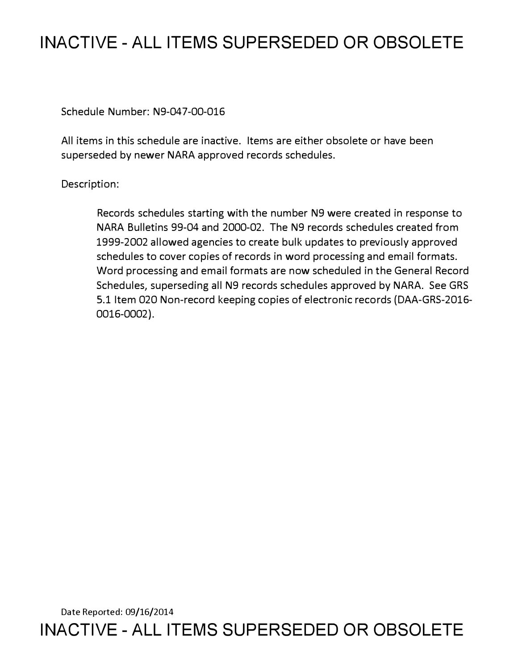# **INACTIVE - ALL ITEMS SUPERSEDED OR OBSOLETE**

Schedule Number: N9-047-00-016

All items in this schedule are inactive. Items are either obsolete or have been superseded by newer NARA approved records schedules.

## Description:

Records schedules starting with the number N9 were created in response to NARA Bulletins 99-04 and 2000-02. The N9 records schedules created from 1999-2002 allowed agencies to create bulk updates to previously approved schedules to cover copies of records in word processing and email formats. Word processing and email formats are now scheduled in the General Record Schedules, superseding all N9 records schedules approved by NARA. See GRS 5.1 Item 020 Non-record keeping copies of electronic records (DAA-GRS-2016- 0016-0002).

Date Reported: 09/16/2014 **INACTIVE - ALL ITEMS SUPERSEDED OR OBSOLETE**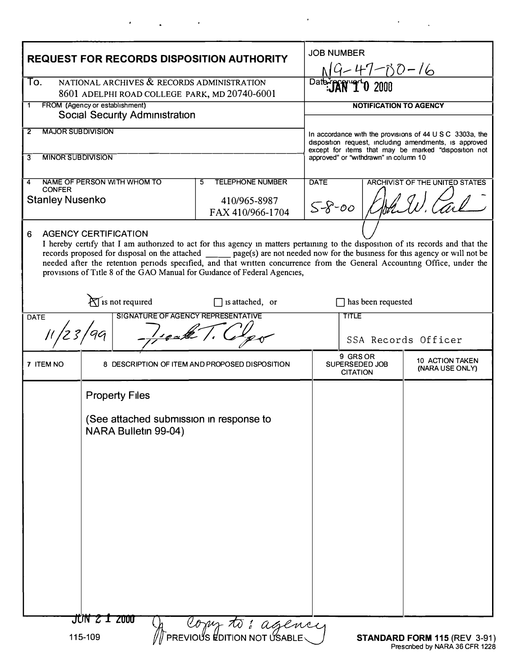| NATIONAL ARCHIVES & RECORDS ADMINISTRATION<br>To.<br>Date<br><b>Ard 2000</b><br>8601 ADELPHI ROAD COLLEGE PARK, MD 20740-6001<br>FROM (Agency or establishment)<br><b>NOTIFICATION TO AGENCY</b><br>1<br><b>Social Security Administration</b><br><b>MAJOR SUBDIVISION</b><br>2<br><b>MINOR SUBDIVISION</b><br>approved" or "withdrawn" in column 10<br>3<br>NAME OF PERSON WITH WHOM TO<br><b>TELEPHONE NUMBER</b><br><b>DATE</b><br>5<br>4<br><b>CONFER</b><br><b>Stanley Nusenko</b><br>410/965-8987<br>$5 - 8 - 00$<br>FAX 410/966-1704<br><b>AGENCY CERTIFICATION</b><br>6<br>provisions of Title 8 of the GAO Manual for Guidance of Federal Agencies,<br>$\mathcal{H}$ is not required<br>is attached, or<br>has been requested<br><b>SIGNATURE OF AGENCY REPRESENTATIVE</b><br><b>TITLE</b><br><b>DATE</b><br>$\frac{1}{\sqrt{2}}$<br>9 GRS OR<br>7 ITEM NO<br>SUPERSEDED JOB<br>8 DESCRIPTION OF ITEM AND PROPOSED DISPOSITION<br><b>CITATION</b><br><b>Property Files</b><br>(See attached submission in response to<br>NARA Bulletin 99-04) | <b>REQUEST FOR RECORDS DISPOSITION AUTHORITY</b>                                                                                                                                                                                                                                                                                                                                                  |  |  |                                                                                                                                                                                        | <b>JOB NUMBER</b><br>$9 - 47 - 100 - 16$ |                                           |  |
|--------------------------------------------------------------------------------------------------------------------------------------------------------------------------------------------------------------------------------------------------------------------------------------------------------------------------------------------------------------------------------------------------------------------------------------------------------------------------------------------------------------------------------------------------------------------------------------------------------------------------------------------------------------------------------------------------------------------------------------------------------------------------------------------------------------------------------------------------------------------------------------------------------------------------------------------------------------------------------------------------------------------------------------------------------|---------------------------------------------------------------------------------------------------------------------------------------------------------------------------------------------------------------------------------------------------------------------------------------------------------------------------------------------------------------------------------------------------|--|--|----------------------------------------------------------------------------------------------------------------------------------------------------------------------------------------|------------------------------------------|-------------------------------------------|--|
|                                                                                                                                                                                                                                                                                                                                                                                                                                                                                                                                                                                                                                                                                                                                                                                                                                                                                                                                                                                                                                                        |                                                                                                                                                                                                                                                                                                                                                                                                   |  |  |                                                                                                                                                                                        |                                          |                                           |  |
|                                                                                                                                                                                                                                                                                                                                                                                                                                                                                                                                                                                                                                                                                                                                                                                                                                                                                                                                                                                                                                                        |                                                                                                                                                                                                                                                                                                                                                                                                   |  |  |                                                                                                                                                                                        |                                          |                                           |  |
|                                                                                                                                                                                                                                                                                                                                                                                                                                                                                                                                                                                                                                                                                                                                                                                                                                                                                                                                                                                                                                                        |                                                                                                                                                                                                                                                                                                                                                                                                   |  |  | In accordance with the provisions of $44 \cup S \subset 3303a$ , the<br>disposition request, including amendments, is approved<br>except for items that may be marked "disposition not |                                          |                                           |  |
|                                                                                                                                                                                                                                                                                                                                                                                                                                                                                                                                                                                                                                                                                                                                                                                                                                                                                                                                                                                                                                                        |                                                                                                                                                                                                                                                                                                                                                                                                   |  |  |                                                                                                                                                                                        |                                          |                                           |  |
|                                                                                                                                                                                                                                                                                                                                                                                                                                                                                                                                                                                                                                                                                                                                                                                                                                                                                                                                                                                                                                                        |                                                                                                                                                                                                                                                                                                                                                                                                   |  |  | ARCHIVIST OF THE UNITED STATES                                                                                                                                                         |                                          |                                           |  |
|                                                                                                                                                                                                                                                                                                                                                                                                                                                                                                                                                                                                                                                                                                                                                                                                                                                                                                                                                                                                                                                        | I hereby certify that I am authorized to act for this agency in matters pertaining to the disposition of its records and that the<br>records proposed for disposal on the attached _______ page(s) are not needed now for the business for this agency or will not be<br>needed after the retention periods specified, and that written concurrence from the General Accounting Office, under the |  |  |                                                                                                                                                                                        |                                          |                                           |  |
|                                                                                                                                                                                                                                                                                                                                                                                                                                                                                                                                                                                                                                                                                                                                                                                                                                                                                                                                                                                                                                                        |                                                                                                                                                                                                                                                                                                                                                                                                   |  |  |                                                                                                                                                                                        |                                          |                                           |  |
|                                                                                                                                                                                                                                                                                                                                                                                                                                                                                                                                                                                                                                                                                                                                                                                                                                                                                                                                                                                                                                                        |                                                                                                                                                                                                                                                                                                                                                                                                   |  |  | SSA Records Officer                                                                                                                                                                    |                                          |                                           |  |
|                                                                                                                                                                                                                                                                                                                                                                                                                                                                                                                                                                                                                                                                                                                                                                                                                                                                                                                                                                                                                                                        |                                                                                                                                                                                                                                                                                                                                                                                                   |  |  |                                                                                                                                                                                        |                                          | <b>10 ACTION TAKEN</b><br>(NARA USE ONLY) |  |
| JUN 2 1 2000<br>A Compto: agency                                                                                                                                                                                                                                                                                                                                                                                                                                                                                                                                                                                                                                                                                                                                                                                                                                                                                                                                                                                                                       |                                                                                                                                                                                                                                                                                                                                                                                                   |  |  |                                                                                                                                                                                        |                                          |                                           |  |

 $\ddot{\phantom{0}}$ 

 $\ddot{\phantom{0}}$ 

 $\ddot{\phantom{a}}$ 

 $\overline{\phantom{a}}$ 

 $\sim$   $\sim$ 

 $\ddot{\phantom{a}}$ 

Prescnbed by NARA 36 CFR 1228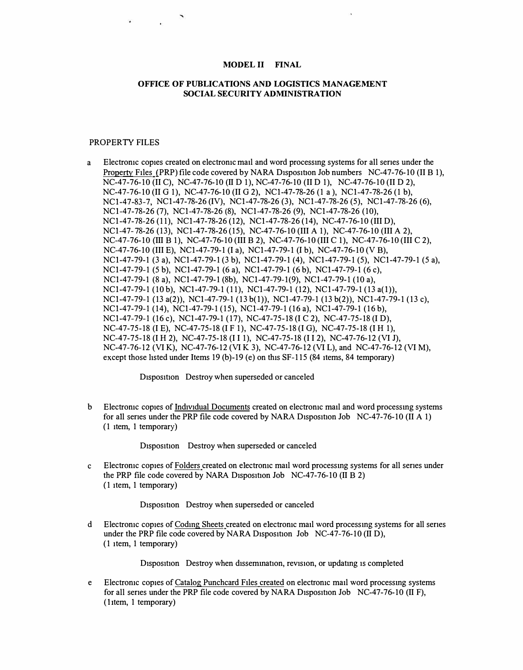### **MODEL II FINAL**

### **OFFICE OF PUBLICATIONS AND LOGISTICS MANAGEMENT SOCIAL SECURITY ADMINISTRATION**

#### PROPERTY FILES

a Electronic copies created on electronic mad and word processmg systems for all senes under the Property Files (PRP) file code covered by NARA Disposition Job numbers NC-47-76-10 (II B 1), NC-47-76-10 (II C), NC-47-76-10 (II D 1), NC-47-76-10 (II D 1), NC-47-76-10 (II D 2), NC-47-76-10 (II G 1), NC-47-76-10 (II G 2), NC1-47-78-26 (1 a ), NC1-47-78-26 (1 b), NCl-47-83-7, NCl-47-78-26 (IV), NCl-47-78-26 (3), NCl-47-78-26 (5), NCl-47-78-26 (6), NCl-47-78-26 (7), NCl-47-78-26 (8), NCl-47-78-26 (9), NCl-47-78-26 (10), NCl-47-78-26 (11), NCl-47-78-26 (12), NCl-47-78-26 (14), NC-47-76-10 (III D), NCl-47- 78-26 (13), NCl-47-78-26 (15), NC-47-76-10 (III A 1), NC-47-76-10 (III A 2), NC-47-76-10 (III B 1), NC-47-76-10 (III B 2), NC-47-76-10 (III C 1), NC-47-76-10 (III C 2), NC-47-76-10 (III E), NCl-47-79-1 (I a), NCl-47-79-1 (I b), NC-47-76-10 (VB), NCl-47-79-1 (3 a), NCl-47-79-1 (3 b), NCl-47-79-1 (4), NCl-47-79-1 (5), NCl-47-79-1 (5 a), NCl-47-79-1 (Sb), NCl-47-79-1 (6 a), NCl-47-79-1 (6 b), NCl-47-79-1 (6 c), NCl-47-79-1 (8 a), NCl-47-79-1 (8b), NCl-47-79-1(9), NCl-47-79-1 (10 a), NCl-47-79-1 (10b), NCl-47-79-1 (11), NCl-47-79-1 (12), NCl-47-79-1 (13 a(l)), NCl-47-79-1 (13 a(2)), NCl-47-79-1 (13 b(l)), NCl-47-79-1 (13 b(2)), NCl-47-79-1 (13 c), NCl-47-79-1 (14), NCl-47-79-1 (15), NCl-47-79-1 (16 a), NCl-47-79-1 (16 b), NCl-47-79-1 (16 c), NCl-47-79-1 (17), NC-47-75-18 (IC 2), NC-47-75-18 (ID), NC-47-75-18 (I E), NC-47-75-18 (I F 1), NC-47-75-18 (I G), NC-47-75-18 (I H 1), NC-47-75-18 (I H 2), NC-47-75-18 (I I 1), NC-47-75-18 (I I 2), NC-47-76-12 (VI J), NC-47-76-12 (VIK), NC-47-76-12 (VIK 3), NC-47-76-12 (VI L), and NC-47-76-12 (VIM), except those hsted under Items 19 (b)-19 (e) on this SF-115 (84 items, 84 temporary)

D<sub>1</sub>spos1tion Destroy when superseded or canceled

b Electronic copies of Individual Documents created on electronic mail and word processing systems for all series under the PRP file code covered by NARA Disposition Job NC-47-76-10 (II A 1) (1 item, 1 temporary)

D<sub>1</sub>spos1t1on Destroy when superseded or canceled

c Electronic copies of Folders created on electronic mad word processmg systems for all senes under the PRP file code covered by NARA Disposition Job  $NC-47-76-10$  (II B 2) (1 item, 1 temporary)

Disposition Destroy when superseded or canceled

d Electronic copies of Coding Sheets created on electronic mail word processing systems for all series under the PRP file code covered by NARA Disposition Job NC-47-76-10 (II D), (1 item, 1 temporary)

Disposition Destroy when dissemination, revision, or updating is completed

e Electronic copies of Catalog Punchcard Files created on electronic mail word processing systems for all series under the PRP file code covered by NARA Disposition Job NC-47-76-10 (II F), ( 1 item, 1 temporary)